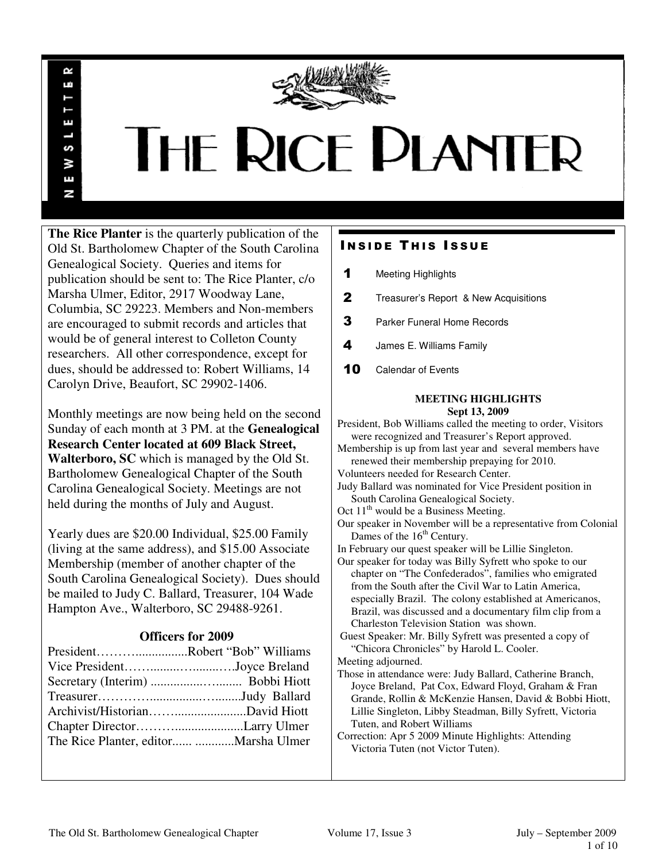

# THE RICE PLANTER

**The Rice Planter** is the quarterly publication of the Old St. Bartholomew Chapter of the South Carolina Genealogical Society. Queries and items for publication should be sent to: The Rice Planter, c/o Marsha Ulmer, Editor, 2917 Woodway Lane, Columbia, SC 29223. Members and Non-members are encouraged to submit records and articles that would be of general interest to Colleton County researchers. All other correspondence, except for dues, should be addressed to: Robert Williams, 14 Carolyn Drive, Beaufort, SC 29902-1406.

R uń

П

S š Ŧ N

Monthly meetings are now being held on the second Sunday of each month at 3 PM. at the **Genealogical Research Center located at 609 Black Street, Walterboro, SC** which is managed by the Old St. Bartholomew Genealogical Chapter of the South Carolina Genealogical Society. Meetings are not held during the months of July and August.

Yearly dues are \$20.00 Individual, \$25.00 Family (living at the same address), and \$15.00 Associate Membership (member of another chapter of the South Carolina Genealogical Society). Dues should be mailed to Judy C. Ballard, Treasurer, 104 Wade Hampton Ave., Walterboro, SC 29488-9261.

## **Officers for 2009**

| PresidentRobert "Bob" Williams |  |
|--------------------------------|--|
| Vice PresidentJoyce Breland    |  |
|                                |  |
|                                |  |
|                                |  |
|                                |  |
|                                |  |

# **INSIDE THIS ISSUE**

- 1 Meeting Highlights
- **2** Treasurer's Report & New Acquisitions
- **3** Parker Funeral Home Records
- 4 James E. Williams Family
- 10 Calendar of Events

## **MEETING HIGHLIGHTS Sept 13, 2009**

President, Bob Williams called the meeting to order, Visitors were recognized and Treasurer's Report approved. Membership is up from last year and several members have renewed their membership prepaying for 2010. Volunteers needed for Research Center. Judy Ballard was nominated for Vice President position in South Carolina Genealogical Society. Oct 11<sup>th</sup> would be a Business Meeting. Our speaker in November will be a representative from Colonial Dames of the 16<sup>th</sup> Century. In February our quest speaker will be Lillie Singleton. Our speaker for today was Billy Syfrett who spoke to our chapter on "The Confederados", families who emigrated from the South after the Civil War to Latin America, especially Brazil. The colony established at Americanos, Brazil, was discussed and a documentary film clip from a Charleston Television Station was shown. Guest Speaker: Mr. Billy Syfrett was presented a copy of "Chicora Chronicles" by Harold L. Cooler. Meeting adjourned. Those in attendance were: Judy Ballard, Catherine Branch, Joyce Breland, Pat Cox, Edward Floyd, Graham & Fran Grande, Rollin & McKenzie Hansen, David & Bobbi Hiott, Lillie Singleton, Libby Steadman, Billy Syfrett, Victoria

Tuten, and Robert Williams

Correction: Apr 5 2009 Minute Highlights: Attending Victoria Tuten (not Victor Tuten).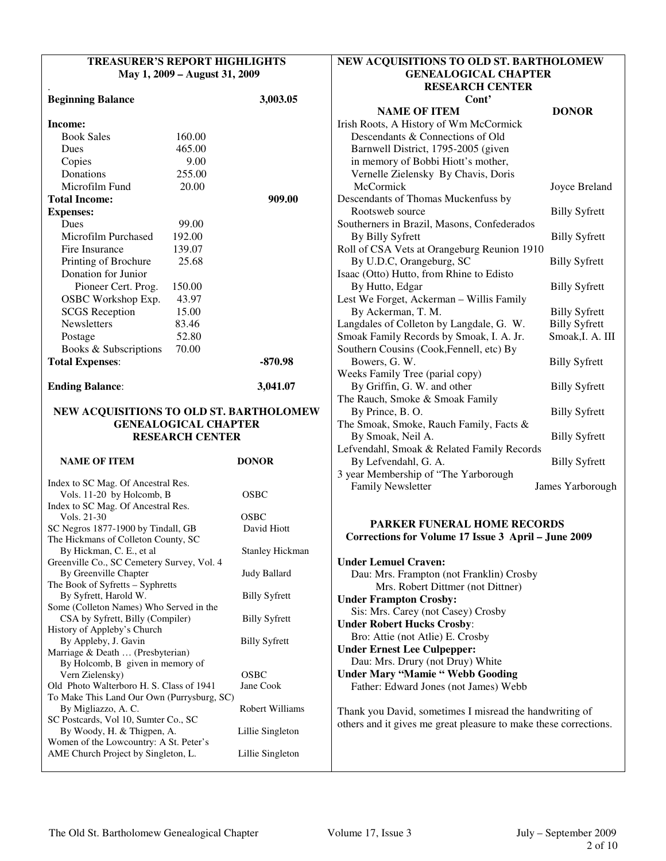| <b>TREASURER'S REPORT HIGHLIGHTS</b>                                      |                             |                      |
|---------------------------------------------------------------------------|-----------------------------|----------------------|
| May 1, 2009 – August 31, 2009                                             |                             |                      |
| <b>Beginning Balance</b>                                                  |                             | 3,003.05             |
| Income:                                                                   |                             |                      |
| <b>Book Sales</b>                                                         | 160.00                      |                      |
| Dues                                                                      | 465.00                      |                      |
| Copies                                                                    | 9.00                        |                      |
| Donations                                                                 | 255.00                      |                      |
| Microfilm Fund                                                            | 20.00                       |                      |
| <b>Total Income:</b>                                                      |                             | 909.00               |
| <b>Expenses:</b>                                                          |                             |                      |
| <b>Dues</b>                                                               | 99.00                       |                      |
| Microfilm Purchased                                                       | 192.00                      |                      |
| Fire Insurance                                                            | 139.07                      |                      |
| Printing of Brochure                                                      | 25.68                       |                      |
| Donation for Junior                                                       |                             |                      |
| Pioneer Cert. Prog.                                                       | 150.00                      |                      |
| OSBC Workshop Exp.                                                        | 43.97                       |                      |
| <b>SCGS</b> Reception                                                     | 15.00                       |                      |
| <b>Newsletters</b>                                                        | 83.46                       |                      |
| Postage                                                                   | 52.80                       |                      |
| Books & Subscriptions                                                     | 70.00                       |                      |
| <b>Total Expenses:</b>                                                    |                             | -870.98              |
|                                                                           |                             |                      |
| <b>Ending Balance:</b>                                                    |                             | 3,041.07             |
| NEW ACQUISITIONS TO OLD ST. BARTHOLOMEW                                   |                             |                      |
|                                                                           | <b>GENEALOGICAL CHAPTER</b> |                      |
|                                                                           | <b>RESEARCH CENTER</b>      |                      |
|                                                                           |                             |                      |
| <b>NAME OF ITEM</b>                                                       |                             | <b>DONOR</b>         |
| Index to SC Mag. Of Ancestral Res.                                        |                             |                      |
| Vols. 11-20 by Holcomb, B                                                 |                             | OSBC                 |
| Index to SC Mag. Of Ancestral Res.                                        |                             |                      |
| Vols. 21-30                                                               |                             | OSBC                 |
| SC Negros 1877-1900 by Tindall, GB<br>The Hickmans of Colleton County, SC |                             | David Hiott          |
| By Hickman, C. E., et al                                                  |                             | Stanley Hickman      |
| Greenville Co., SC Cemetery Survey, Vol. 4                                |                             |                      |
| By Greenville Chapter                                                     |                             | Judy Ballard         |
| The Book of Syfretts - Syphretts                                          |                             |                      |
| By Syfrett, Harold W.                                                     |                             | <b>Billy Syfrett</b> |
| Some (Colleton Names) Who Served in the                                   |                             |                      |
| CSA by Syfrett, Billy (Compiler)                                          |                             | <b>Billy Syfrett</b> |
| History of Appleby's Church<br>By Appleby, J. Gavin                       |                             | <b>Billy Syfrett</b> |
| Marriage & Death  (Presbyterian)                                          |                             |                      |
| By Holcomb, B given in memory of                                          |                             |                      |
| Vern Zielensky)                                                           |                             | OSBC                 |
| Old Photo Walterboro H. S. Class of 1941                                  |                             | Jane Cook            |
|                                                                           |                             |                      |
| To Make This Land Our Own (Purrysburg, SC)                                |                             |                      |
| By Migliazzo, A. C.                                                       |                             | Robert Williams      |
| SC Postcards, Vol 10, Sumter Co., SC                                      |                             |                      |
| By Woody, H. & Thigpen, A.<br>Women of the Lowcountry: A St. Peter's      |                             | Lillie Singleton     |

## **NEW ACQUISITIONS TO OLD ST. BARTHOLOMEW GENEALOGICAL CHAPTER RESEARCH CENTER Cont'**

| <b>NAME OF ITEM</b>                         | <b>DONOR</b>         |
|---------------------------------------------|----------------------|
| Irish Roots, A History of Wm McCormick      |                      |
| Descendants & Connections of Old            |                      |
| Barnwell District, 1795-2005 (given         |                      |
| in memory of Bobbi Hiott's mother,          |                      |
| Vernelle Zielensky By Chavis, Doris         |                      |
| McCormick                                   | Joyce Breland        |
| Descendants of Thomas Muckenfuss by         |                      |
| Rootsweb source                             | <b>Billy Syfrett</b> |
| Southerners in Brazil, Masons, Confederados |                      |
| By Billy Syfrett                            | <b>Billy Syfrett</b> |
| Roll of CSA Vets at Orangeburg Reunion 1910 |                      |
| By U.D.C, Orangeburg, SC                    | <b>Billy Syfrett</b> |
| Isaac (Otto) Hutto, from Rhine to Edisto    |                      |
| By Hutto, Edgar                             | <b>Billy Syfrett</b> |
| Lest We Forget, Ackerman - Willis Family    |                      |
| By Ackerman, T. M.                          | <b>Billy Syfrett</b> |
| Langdales of Colleton by Langdale, G. W.    | <b>Billy Syfrett</b> |
| Smoak Family Records by Smoak, I. A. Jr.    | Smoak, I. A. III     |
| Southern Cousins (Cook, Fennell, etc) By    |                      |
| Bowers, G. W.                               | <b>Billy Syfrett</b> |
| Weeks Family Tree (parial copy)             |                      |
| By Griffin, G. W. and other                 | <b>Billy Syfrett</b> |
| The Rauch, Smoke & Smoak Family             |                      |
| By Prince, B.O.                             | <b>Billy Syfrett</b> |
| The Smoak, Smoke, Rauch Family, Facts &     |                      |
| By Smoak, Neil A.                           | <b>Billy Syfrett</b> |
| Lefvendahl, Smoak & Related Family Records  |                      |
| By Lefvendahl, G. A.                        | <b>Billy Syfrett</b> |
| 3 year Membership of "The Yarborough        |                      |
| <b>Family Newsletter</b>                    | James Yarborough     |

## **PARKER FUNERAL HOME RECORDS Corrections for Volume 17 Issue 3 April – June 2009**

| <b>Under Lemuel Craven:</b>                                                                                                 |
|-----------------------------------------------------------------------------------------------------------------------------|
| Dau: Mrs. Frampton (not Franklin) Crosby                                                                                    |
| Mrs. Robert Dittmer (not Dittner)                                                                                           |
| <b>Under Frampton Crosby:</b>                                                                                               |
| Sis: Mrs. Carey (not Casey) Crosby                                                                                          |
| <b>Under Robert Hucks Crosby:</b>                                                                                           |
| Bro: Attie (not Atlie) E. Crosby                                                                                            |
| <b>Under Ernest Lee Culpepper:</b>                                                                                          |
| Dau: Mrs. Drury (not Druy) White                                                                                            |
| <b>Under Mary "Mamie " Webb Gooding</b>                                                                                     |
| Father: Edward Jones (not James) Webb                                                                                       |
| Thank you David, sometimes I misread the handwriting of<br>others and it gives me great pleasure to make these corrections. |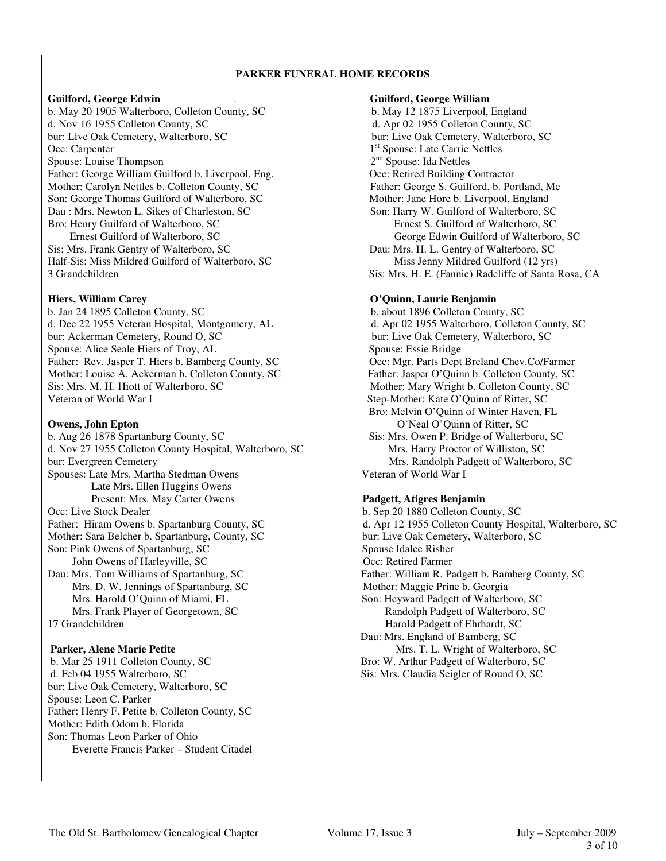## **PARKER FUNERAL HOME RECORDS**

b. May 20 1905 Walterboro, Colleton County, SC b. May 12 1875 Liverpool, England d. Nov 16 1955 Colleton County, SC d. Apr 02 1955 Colleton County, SC bur: Live Oak Cemetery, Walterboro, SC bur: Live Oak Cemetery, Walterboro, SC Occ: Carpenter 1<sup>st</sup> Spouse: Late Carrie Nettles<br>
Spouse: Louise Thompson<br>
2<sup>nd</sup> Spouse: Ida Nettles Spouse: Louise Thompson 2<sup>nd</sup> Spouse: Ida Nettles<br>
Father: George William Guilford b. Liverpool, Eng. 2<sup>nd</sup> Spouse: Ida Nettles 2<sup>nd</sup> Spouse: Ida Nettles Father: George William Guilford b. Liverpool, Eng. Mother: Carolyn Nettles b. Colleton County, SC Father: George S. Guilford, b. Portland, Me Son: George Thomas Guilford of Walterboro, SC Mother: Jane Hore b. Liverpool, England Dau : Mrs. Newton L. Sikes of Charleston, SC Son: Harry W. Guilford of Walterboro, SC Bro: Henry Guilford of Walterboro, SC Ernest S. Guilford of Walterboro, SC Sis: Mrs. Frank Gentry of Walterboro, SC Dau: Mrs. H. L. Gentry of Walterboro, SC

b. Jan 24 1895 Colleton County, SC b. about 1896 Colleton County, SC d. Dec 22 1955 Veteran Hospital, Montgomery, AL d. Apr 02 1955 Walterboro, Colleton County, SC bur: Ackerman Cemetery, Round O, SC bur: Live Oak Cemetery, Walterboro, SC Spouse: Alice Seale Hiers of Troy, AL Spouse: Essie Bridge Father: Rev. Jasper T. Hiers b. Bamberg County, SC Occ: Mgr. Parts Dept Breland Chev.Co/Farmer Mother: Louise A. Ackerman b. Colleton County, SC Father: Jasper O'Quinn b. Colleton County, SC Sis: Mrs. M. H. Hiott of Walterboro, SC Mother: Mary Wright b. Colleton County, SC Veteran of World War I Step-Mother: Kate O'Quinn of Ritter, SC

b. Aug 26 1878 Spartanburg County, SC Sis: Mrs. Owen P. Bridge of Walterboro, SC d. Nov 27 1955 Colleton County Hospital, Walterboro, SC Mrs. Harry Proctor of Williston, SC bur: Evergreen Cemetery Mrs. Randolph Padgett of Walterboro, SC Spouses: Late Mrs. Martha Stedman Owens Veteran of World War I Late Mrs. Ellen Huggins Owens Present: Mrs. May Carter Owens **Padgett, Atigres Benjamin** Occ: Live Stock Dealer b. Sep 20 1880 Colleton County, SC Mother: Sara Belcher b. Spartanburg, County, SC bur: Live Oak Cemetery, Walterboro, SC Son: Pink Owens of Spartanburg, SC Spouse Idalee Risher John Owens of Harleyville, SC Occ: Retired Farmer Dau: Mrs. Tom Williams of Spartanburg, SC Father: William R. Padgett b. Bamberg County, SC Mrs. D. W. Jennings of Spartanburg, SC Mother: Maggie Prine b. Georgia Mrs. Harold O'Quinn of Miami, FL Son: Heyward Padgett of Walterboro, SC Mrs. Frank Player of Georgetown, SC Randolph Padgett of Walterboro, SC 17 Grandchildren Harold Padgett of Ehrhardt, SC

b. Mar 25 1911 Colleton County, SC Bro: W. Arthur Padgett of Walterboro, SC d. Feb 04 1955 Walterboro, SC Sis: Mrs. Claudia Seigler of Round O, SC bur: Live Oak Cemetery, Walterboro, SC Spouse: Leon C. Parker Father: Henry F. Petite b. Colleton County, SC Mother: Edith Odom b. Florida Son: Thomas Leon Parker of Ohio Everette Francis Parker – Student Citadel

**Guilford, George Edwin** . **Guilford, George William** Ernest Guilford of Walterboro, SC George Edwin Guilford of Walterboro, SC Half-Sis: Miss Mildred Guilford of Walterboro, SC Miss Jenny Mildred Guilford (12 yrs) 3 Grandchildren Sis: Mrs. H. E. (Fannie) Radcliffe of Santa Rosa, CA **Hiers, William Carey 2018 19:30 19:30 19:30 19:30 19:30 19:30 19:30 19:30 19:30 19:30 19:30 19:30 19:30 19:30 19:30 19:30 19:30 19:30 19:30 19:30 19:30 19:30 19:30 19:30 19:30 19:30 19:30 19:30 19:30 19:30 19:30 19:30 19:** 

 Bro: Melvin O'Quinn of Winter Haven, FL **O'Neal O'Quinn of Ritter, SC O'Neal O'Quinn of Ritter, SC** 

Father: Hiram Owens b. Spartanburg County, SC d. Apr 12 1955 Colleton County Hospital, Walterboro, SC Dau: Mrs. England of Bamberg, SC **Parker, Alene Marie Petite** Mrs. T. L. Wright of Walterboro, SC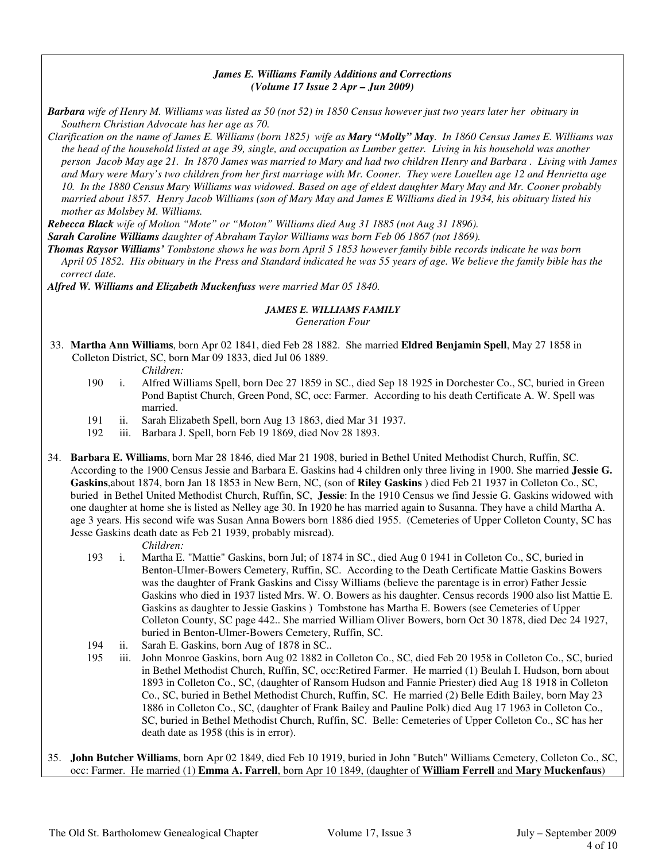## *James E. Williams Family Additions and Corrections (Volume 17 Issue 2 Apr – Jun 2009)*

*Barbara wife of Henry M. Williams was listed as 50 (not 52) in 1850 Census however just two years later her obituary in Southern Christian Advocate has her age as 70.* 

*Clarification on the name of James E. Williams (born 1825) wife as Mary "Molly" May. In 1860 Census James E. Williams was the head of the household listed at age 39, single, and occupation as Lumber getter. Living in his household was another person Jacob May age 21. In 1870 James was married to Mary and had two children Henry and Barbara . Living with James and Mary were Mary's two children from her first marriage with Mr. Cooner. They were Louellen age 12 and Henrietta age 10. In the 1880 Census Mary Williams was widowed. Based on age of eldest daughter Mary May and Mr. Cooner probably married about 1857. Henry Jacob Williams (son of Mary May and James E Williams died in 1934, his obituary listed his mother as Molsbey M. Williams.* 

*Rebecca Black wife of Molton "Mote" or "Moton" Williams died Aug 31 1885 (not Aug 31 1896).* 

*Sarah Caroline Williams daughter of Abraham Taylor Williams was born Feb 06 1867 (not 1869).* 

*Thomas Raysor Williams' Tombstone shows he was born April 5 1853 however family bible records indicate he was born April 05 1852. His obituary in the Press and Standard indicated he was 55 years of age. We believe the family bible has the correct date.* 

*Alfred W. Williams and Elizabeth Muckenfuss were married Mar 05 1840.* 

# *JAMES E. WILLIAMS FAMILY*

*Generation Four*

33. **Martha Ann Williams**, born Apr 02 1841, died Feb 28 1882. She married **Eldred Benjamin Spell**, May 27 1858 in Colleton District, SC, born Mar 09 1833, died Jul 06 1889.

- 190 i. Alfred Williams Spell, born Dec 27 1859 in SC., died Sep 18 1925 in Dorchester Co., SC, buried in Green Pond Baptist Church, Green Pond, SC, occ: Farmer. According to his death Certificate A. W. Spell was married.
- 191 ii. Sarah Elizabeth Spell, born Aug 13 1863, died Mar 31 1937.
- 192 iii. Barbara J. Spell, born Feb 19 1869, died Nov 28 1893.
- 34. **Barbara E. Williams**, born Mar 28 1846, died Mar 21 1908, buried in Bethel United Methodist Church, Ruffin, SC. According to the 1900 Census Jessie and Barbara E. Gaskins had 4 children only three living in 1900. She married **Jessie G. Gaskins**,about 1874, born Jan 18 1853 in New Bern, NC, (son of **Riley Gaskins** ) died Feb 21 1937 in Colleton Co., SC, buried in Bethel United Methodist Church, Ruffin, SC, **Jessie**: In the 1910 Census we find Jessie G. Gaskins widowed with one daughter at home she is listed as Nelley age 30. In 1920 he has married again to Susanna. They have a child Martha A. age 3 years. His second wife was Susan Anna Bowers born 1886 died 1955. (Cemeteries of Upper Colleton County, SC has Jesse Gaskins death date as Feb 21 1939, probably misread).

- *Children:*<br>193 *i.* Martha E. 1. Martha E. "Mattie" Gaskins, born Jul; of 1874 in SC., died Aug 0 1941 in Colleton Co., SC, buried in Benton-Ulmer-Bowers Cemetery, Ruffin, SC. According to the Death Certificate Mattie Gaskins Bowers was the daughter of Frank Gaskins and Cissy Williams (believe the parentage is in error) Father Jessie Gaskins who died in 1937 listed Mrs. W. O. Bowers as his daughter. Census records 1900 also list Mattie E. Gaskins as daughter to Jessie Gaskins ) Tombstone has Martha E. Bowers (see Cemeteries of Upper Colleton County, SC page 442.. She married William Oliver Bowers, born Oct 30 1878, died Dec 24 1927, buried in Benton-Ulmer-Bowers Cemetery, Ruffin, SC.
- 194 ii. Sarah E. Gaskins, born Aug of 1878 in SC..
- 195 iii. John Monroe Gaskins, born Aug 02 1882 in Colleton Co., SC, died Feb 20 1958 in Colleton Co., SC, buried in Bethel Methodist Church, Ruffin, SC, occ:Retired Farmer. He married (1) Beulah I. Hudson, born about 1893 in Colleton Co., SC, (daughter of Ransom Hudson and Fannie Priester) died Aug 18 1918 in Colleton Co., SC, buried in Bethel Methodist Church, Ruffin, SC. He married (2) Belle Edith Bailey, born May 23 1886 in Colleton Co., SC, (daughter of Frank Bailey and Pauline Polk) died Aug 17 1963 in Colleton Co., SC, buried in Bethel Methodist Church, Ruffin, SC. Belle: Cemeteries of Upper Colleton Co., SC has her death date as 1958 (this is in error).
- 35. **John Butcher Williams**, born Apr 02 1849, died Feb 10 1919, buried in John "Butch" Williams Cemetery, Colleton Co., SC, occ: Farmer. He married (1) **Emma A. Farrell**, born Apr 10 1849, (daughter of **William Ferrell** and **Mary Muckenfaus**)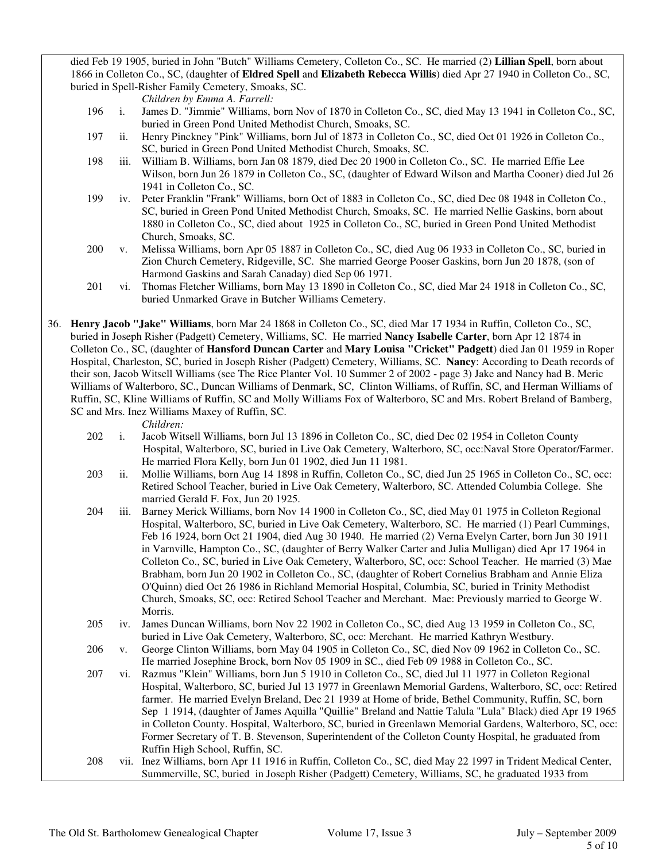died Feb 19 1905, buried in John "Butch" Williams Cemetery, Colleton Co., SC. He married (2) **Lillian Spell**, born about 1866 in Colleton Co., SC, (daughter of **Eldred Spell** and **Elizabeth Rebecca Willis**) died Apr 27 1940 in Colleton Co., SC, buried in Spell-Risher Family Cemetery, Smoaks, SC.

- *Children by Emma A. Farrell:*
- 196 i. James D. "Jimmie" Williams, born Nov of 1870 in Colleton Co., SC, died May 13 1941 in Colleton Co., SC, buried in Green Pond United Methodist Church, Smoaks, SC.
- 197 ii. Henry Pinckney "Pink" Williams, born Jul of 1873 in Colleton Co., SC, died Oct 01 1926 in Colleton Co., SC, buried in Green Pond United Methodist Church, Smoaks, SC.
- 198 iii. William B. Williams, born Jan 08 1879, died Dec 20 1900 in Colleton Co., SC. He married Effie Lee Wilson, born Jun 26 1879 in Colleton Co., SC, (daughter of Edward Wilson and Martha Cooner) died Jul 26 1941 in Colleton Co., SC.
- 199 iv. Peter Franklin "Frank" Williams, born Oct of 1883 in Colleton Co., SC, died Dec 08 1948 in Colleton Co., SC, buried in Green Pond United Methodist Church, Smoaks, SC. He married Nellie Gaskins, born about 1880 in Colleton Co., SC, died about 1925 in Colleton Co., SC, buried in Green Pond United Methodist Church, Smoaks, SC.
- 200 v. Melissa Williams, born Apr 05 1887 in Colleton Co., SC, died Aug 06 1933 in Colleton Co., SC, buried in Zion Church Cemetery, Ridgeville, SC. She married George Pooser Gaskins, born Jun 20 1878, (son of Harmond Gaskins and Sarah Canaday) died Sep 06 1971.
- 201 vi. Thomas Fletcher Williams, born May 13 1890 in Colleton Co., SC, died Mar 24 1918 in Colleton Co., SC, buried Unmarked Grave in Butcher Williams Cemetery.
- 36. **Henry Jacob "Jake" Williams**, born Mar 24 1868 in Colleton Co., SC, died Mar 17 1934 in Ruffin, Colleton Co., SC, buried in Joseph Risher (Padgett) Cemetery, Williams, SC. He married **Nancy Isabelle Carter**, born Apr 12 1874 in Colleton Co., SC, (daughter of **Hansford Duncan Carter** and **Mary Louisa "Cricket" Padgett**) died Jan 01 1959 in Roper Hospital, Charleston, SC, buried in Joseph Risher (Padgett) Cemetery, Williams, SC. **Nancy**: According to Death records of their son, Jacob Witsell Williams (see The Rice Planter Vol. 10 Summer 2 of 2002 - page 3) Jake and Nancy had B. Meric Williams of Walterboro, SC., Duncan Williams of Denmark, SC, Clinton Williams, of Ruffin, SC, and Herman Williams of Ruffin, SC, Kline Williams of Ruffin, SC and Molly Williams Fox of Walterboro, SC and Mrs. Robert Breland of Bamberg, SC and Mrs. Inez Williams Maxey of Ruffin, SC.

- 202 i. Jacob Witsell Williams, born Jul 13 1896 in Colleton Co., SC, died Dec 02 1954 in Colleton County Hospital, Walterboro, SC, buried in Live Oak Cemetery, Walterboro, SC, occ:Naval Store Operator/Farmer. He married Flora Kelly, born Jun 01 1902, died Jun 11 1981.
- 203 ii. Mollie Williams, born Aug 14 1898 in Ruffin, Colleton Co., SC, died Jun 25 1965 in Colleton Co., SC, occ: Retired School Teacher, buried in Live Oak Cemetery, Walterboro, SC. Attended Columbia College. She married Gerald F. Fox, Jun 20 1925.
- 204 iii. Barney Merick Williams, born Nov 14 1900 in Colleton Co., SC, died May 01 1975 in Colleton Regional Hospital, Walterboro, SC, buried in Live Oak Cemetery, Walterboro, SC. He married (1) Pearl Cummings, Feb 16 1924, born Oct 21 1904, died Aug 30 1940. He married (2) Verna Evelyn Carter, born Jun 30 1911 in Varnville, Hampton Co., SC, (daughter of Berry Walker Carter and Julia Mulligan) died Apr 17 1964 in Colleton Co., SC, buried in Live Oak Cemetery, Walterboro, SC, occ: School Teacher. He married (3) Mae Brabham, born Jun 20 1902 in Colleton Co., SC, (daughter of Robert Cornelius Brabham and Annie Eliza O'Quinn) died Oct 26 1986 in Richland Memorial Hospital, Columbia, SC, buried in Trinity Methodist Church, Smoaks, SC, occ: Retired School Teacher and Merchant. Mae: Previously married to George W. Morris.
- 205 iv. James Duncan Williams, born Nov 22 1902 in Colleton Co., SC, died Aug 13 1959 in Colleton Co., SC, buried in Live Oak Cemetery, Walterboro, SC, occ: Merchant. He married Kathryn Westbury.
- 206 v. George Clinton Williams, born May 04 1905 in Colleton Co., SC, died Nov 09 1962 in Colleton Co., SC. He married Josephine Brock, born Nov 05 1909 in SC., died Feb 09 1988 in Colleton Co., SC.
- 207 vi. Razmus "Klein" Williams, born Jun 5 1910 in Colleton Co., SC, died Jul 11 1977 in Colleton Regional Hospital, Walterboro, SC, buried Jul 13 1977 in Greenlawn Memorial Gardens, Walterboro, SC, occ: Retired farmer. He married Evelyn Breland, Dec 21 1939 at Home of bride, Bethel Community, Ruffin, SC, born Sep 1 1914, (daughter of James Aquilla "Quillie" Breland and Nattie Talula "Lula" Black) died Apr 19 1965 in Colleton County. Hospital, Walterboro, SC, buried in Greenlawn Memorial Gardens, Walterboro, SC, occ: Former Secretary of T. B. Stevenson, Superintendent of the Colleton County Hospital, he graduated from Ruffin High School, Ruffin, SC.
- 208 vii. Inez Williams, born Apr 11 1916 in Ruffin, Colleton Co., SC, died May 22 1997 in Trident Medical Center, Summerville, SC, buried in Joseph Risher (Padgett) Cemetery, Williams, SC, he graduated 1933 from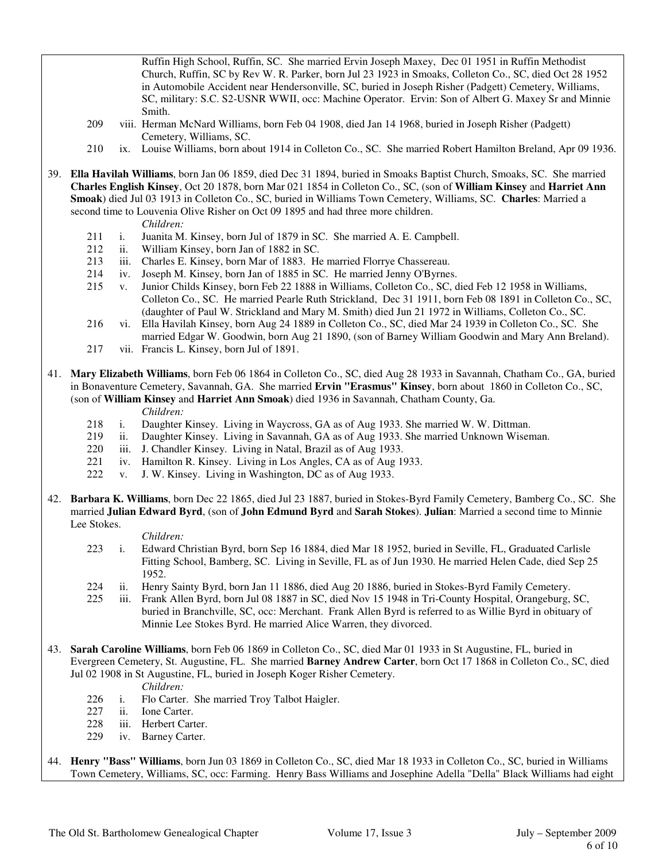Ruffin High School, Ruffin, SC. She married Ervin Joseph Maxey, Dec 01 1951 in Ruffin Methodist Church, Ruffin, SC by Rev W. R. Parker, born Jul 23 1923 in Smoaks, Colleton Co., SC, died Oct 28 1952 in Automobile Accident near Hendersonville, SC, buried in Joseph Risher (Padgett) Cemetery, Williams, SC, military: S.C. S2-USNR WWII, occ: Machine Operator. Ervin: Son of Albert G. Maxey Sr and Minnie Smith.

- 209 viii. Herman McNard Williams, born Feb 04 1908, died Jan 14 1968, buried in Joseph Risher (Padgett) Cemetery, Williams, SC.
- 210 ix. Louise Williams, born about 1914 in Colleton Co., SC. She married Robert Hamilton Breland, Apr 09 1936.
- 39. **Ella Havilah Williams**, born Jan 06 1859, died Dec 31 1894, buried in Smoaks Baptist Church, Smoaks, SC. She married **Charles English Kinsey**, Oct 20 1878, born Mar 021 1854 in Colleton Co., SC, (son of **William Kinsey** and **Harriet Ann Smoak**) died Jul 03 1913 in Colleton Co., SC, buried in Williams Town Cemetery, Williams, SC. **Charles**: Married a second time to Louvenia Olive Risher on Oct 09 1895 and had three more children.
	- *Children:*
	- 211 i. Juanita M. Kinsey, born Jul of 1879 in SC. She married A. E. Campbell.
	- 212 ii. William Kinsey, born Jan of 1882 in SC.
	- 213 iii. Charles E. Kinsey, born Mar of 1883. He married Florrye Chassereau.
	- 214 iv. Joseph M. Kinsey, born Jan of 1885 in SC. He married Jenny O'Byrnes.
	- 215 v. Junior Childs Kinsey, born Feb 22 1888 in Williams, Colleton Co., SC, died Feb 12 1958 in Williams, Colleton Co., SC. He married Pearle Ruth Strickland, Dec 31 1911, born Feb 08 1891 in Colleton Co., SC, (daughter of Paul W. Strickland and Mary M. Smith) died Jun 21 1972 in Williams, Colleton Co., SC.
	- 216 vi. Ella Havilah Kinsey, born Aug 24 1889 in Colleton Co., SC, died Mar 24 1939 in Colleton Co., SC. She married Edgar W. Goodwin, born Aug 21 1890, (son of Barney William Goodwin and Mary Ann Breland).
	- 217 vii. Francis L. Kinsey, born Jul of 1891.
- 41. **Mary Elizabeth Williams**, born Feb 06 1864 in Colleton Co., SC, died Aug 28 1933 in Savannah, Chatham Co., GA, buried in Bonaventure Cemetery, Savannah, GA. She married **Ervin "Erasmus" Kinsey**, born about 1860 in Colleton Co., SC, (son of **William Kinsey** and **Harriet Ann Smoak**) died 1936 in Savannah, Chatham County, Ga.
	-
	- *Children:*<br>218 *i.* Daughter 1. Daughter Kinsey. Living in Waycross, GA as of Aug 1933. She married W. W. Dittman.
	- 219 ii. Daughter Kinsey. Living in Savannah, GA as of Aug 1933. She married Unknown Wiseman.
	- 220 iii. J. Chandler Kinsey. Living in Natal, Brazil as of Aug 1933.<br>221 iv. Hamilton R. Kinsey. Living in Los Angles, CA as of Aug 19
	- iv. Hamilton R. Kinsey. Living in Los Angles, CA as of Aug 1933.
	- 222 v. J. W. Kinsey. Living in Washington, DC as of Aug 1933.
- 42. **Barbara K. Williams**, born Dec 22 1865, died Jul 23 1887, buried in Stokes-Byrd Family Cemetery, Bamberg Co., SC. She married **Julian Edward Byrd**, (son of **John Edmund Byrd** and **Sarah Stokes**). **Julian**: Married a second time to Minnie Lee Stokes.

- 223 i. Edward Christian Byrd, born Sep 16 1884, died Mar 18 1952, buried in Seville, FL, Graduated Carlisle Fitting School, Bamberg, SC. Living in Seville, FL as of Jun 1930. He married Helen Cade, died Sep 25 1952.
- 224 ii. Henry Sainty Byrd, born Jan 11 1886, died Aug 20 1886, buried in Stokes-Byrd Family Cemetery.
- 225 iii. Frank Allen Byrd, born Jul 08 1887 in SC, died Nov 15 1948 in Tri-County Hospital, Orangeburg, SC, buried in Branchville, SC, occ: Merchant. Frank Allen Byrd is referred to as Willie Byrd in obituary of Minnie Lee Stokes Byrd. He married Alice Warren, they divorced.
- 43. **Sarah Caroline Williams**, born Feb 06 1869 in Colleton Co., SC, died Mar 01 1933 in St Augustine, FL, buried in Evergreen Cemetery, St. Augustine, FL. She married **Barney Andrew Carter**, born Oct 17 1868 in Colleton Co., SC, died Jul 02 1908 in St Augustine, FL, buried in Joseph Koger Risher Cemetery. *Children:*
	- 226 i. Flo Carter. She married Troy Talbot Haigler.
	- 227 ii. Ione Carter.
	- 228 iii. Herbert Carter.
	- 229 iv. Barney Carter.
- 44. **Henry "Bass" Williams**, born Jun 03 1869 in Colleton Co., SC, died Mar 18 1933 in Colleton Co., SC, buried in Williams Town Cemetery, Williams, SC, occ: Farming. Henry Bass Williams and Josephine Adella "Della" Black Williams had eight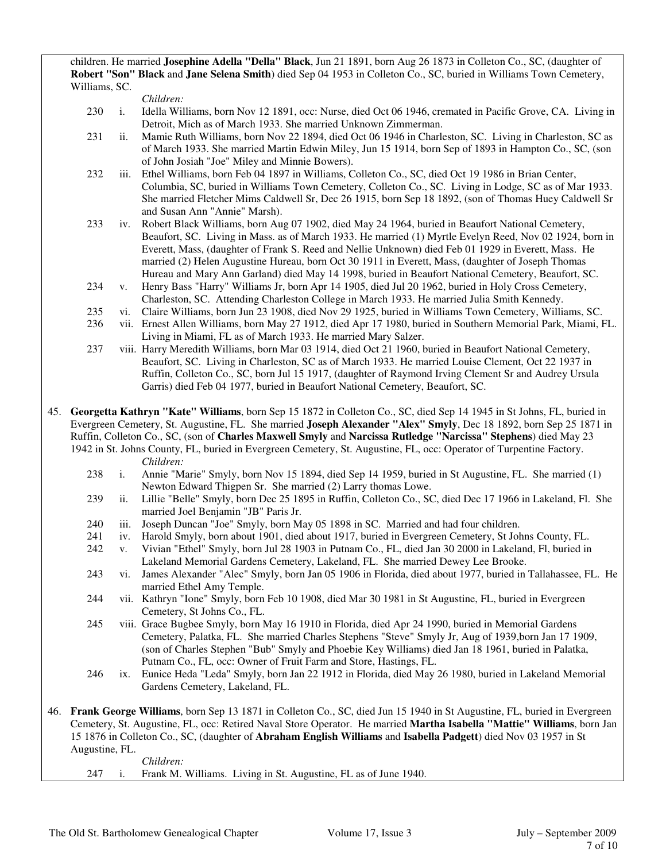children. He married **Josephine Adella "Della" Black**, Jun 21 1891, born Aug 26 1873 in Colleton Co., SC, (daughter of **Robert "Son" Black** and **Jane Selena Smith**) died Sep 04 1953 in Colleton Co., SC, buried in Williams Town Cemetery, Williams, SC.

*Children:*

- 230 i. Idella Williams, born Nov 12 1891, occ: Nurse, died Oct 06 1946, cremated in Pacific Grove, CA. Living in Detroit, Mich as of March 1933. She married Unknown Zimmerman.
- 231 ii. Mamie Ruth Williams, born Nov 22 1894, died Oct 06 1946 in Charleston, SC. Living in Charleston, SC as of March 1933. She married Martin Edwin Miley, Jun 15 1914, born Sep of 1893 in Hampton Co., SC, (son of John Josiah "Joe" Miley and Minnie Bowers).
- 232 iii. Ethel Williams, born Feb 04 1897 in Williams, Colleton Co., SC, died Oct 19 1986 in Brian Center, Columbia, SC, buried in Williams Town Cemetery, Colleton Co., SC. Living in Lodge, SC as of Mar 1933. She married Fletcher Mims Caldwell Sr, Dec 26 1915, born Sep 18 1892, (son of Thomas Huey Caldwell Sr and Susan Ann "Annie" Marsh).
- 233 iv. Robert Black Williams, born Aug 07 1902, died May 24 1964, buried in Beaufort National Cemetery, Beaufort, SC. Living in Mass. as of March 1933. He married (1) Myrtle Evelyn Reed, Nov 02 1924, born in Everett, Mass, (daughter of Frank S. Reed and Nellie Unknown) died Feb 01 1929 in Everett, Mass. He married (2) Helen Augustine Hureau, born Oct 30 1911 in Everett, Mass, (daughter of Joseph Thomas Hureau and Mary Ann Garland) died May 14 1998, buried in Beaufort National Cemetery, Beaufort, SC.
- 234 v. Henry Bass "Harry" Williams Jr, born Apr 14 1905, died Jul 20 1962, buried in Holy Cross Cemetery, Charleston, SC. Attending Charleston College in March 1933. He married Julia Smith Kennedy.
- 235 vi. Claire Williams, born Jun 23 1908, died Nov 29 1925, buried in Williams Town Cemetery, Williams, SC.
- 236 vii. Ernest Allen Williams, born May 27 1912, died Apr 17 1980, buried in Southern Memorial Park, Miami, FL. Living in Miami, FL as of March 1933. He married Mary Salzer.
- 237 viii. Harry Meredith Williams, born Mar 03 1914, died Oct 21 1960, buried in Beaufort National Cemetery, Beaufort, SC. Living in Charleston, SC as of March 1933. He married Louise Clement, Oct 22 1937 in Ruffin, Colleton Co., SC, born Jul 15 1917, (daughter of Raymond Irving Clement Sr and Audrey Ursula Garris) died Feb 04 1977, buried in Beaufort National Cemetery, Beaufort, SC.

45. **Georgetta Kathryn "Kate" Williams**, born Sep 15 1872 in Colleton Co., SC, died Sep 14 1945 in St Johns, FL, buried in Evergreen Cemetery, St. Augustine, FL. She married **Joseph Alexander "Alex" Smyly**, Dec 18 1892, born Sep 25 1871 in Ruffin, Colleton Co., SC, (son of **Charles Maxwell Smyly** and **Narcissa Rutledge "Narcissa" Stephens**) died May 23 1942 in St. Johns County, FL, buried in Evergreen Cemetery, St. Augustine, FL, occ: Operator of Turpentine Factory. *Children:*

- 238 i. Annie "Marie" Smyly, born Nov 15 1894, died Sep 14 1959, buried in St Augustine, FL. She married (1) Newton Edward Thigpen Sr. She married (2) Larry thomas Lowe.
- 239 ii. Lillie "Belle" Smyly, born Dec 25 1895 in Ruffin, Colleton Co., SC, died Dec 17 1966 in Lakeland, Fl. She married Joel Benjamin "JB" Paris Jr.
- 240 iii. Joseph Duncan "Joe" Smyly, born May 05 1898 in SC. Married and had four children.
- 241 iv. Harold Smyly, born about 1901, died about 1917, buried in Evergreen Cemetery, St Johns County, FL.
- 242 v. Vivian "Ethel" Smyly, born Jul 28 1903 in Putnam Co., FL, died Jan 30 2000 in Lakeland, Fl, buried in Lakeland Memorial Gardens Cemetery, Lakeland, FL. She married Dewey Lee Brooke.
- 243 vi. James Alexander "Alec" Smyly, born Jan 05 1906 in Florida, died about 1977, buried in Tallahassee, FL. He married Ethel Amy Temple.
- 244 vii. Kathryn "Ione" Smyly, born Feb 10 1908, died Mar 30 1981 in St Augustine, FL, buried in Evergreen Cemetery, St Johns Co., FL.
- 245 viii. Grace Bugbee Smyly, born May 16 1910 in Florida, died Apr 24 1990, buried in Memorial Gardens Cemetery, Palatka, FL. She married Charles Stephens "Steve" Smyly Jr, Aug of 1939,born Jan 17 1909, (son of Charles Stephen "Bub" Smyly and Phoebie Key Williams) died Jan 18 1961, buried in Palatka, Putnam Co., FL, occ: Owner of Fruit Farm and Store, Hastings, FL.
- 246 ix. Eunice Heda "Leda" Smyly, born Jan 22 1912 in Florida, died May 26 1980, buried in Lakeland Memorial Gardens Cemetery, Lakeland, FL.
- 46. **Frank George Williams**, born Sep 13 1871 in Colleton Co., SC, died Jun 15 1940 in St Augustine, FL, buried in Evergreen Cemetery, St. Augustine, FL, occ: Retired Naval Store Operator. He married **Martha Isabella "Mattie" Williams**, born Jan 15 1876 in Colleton Co., SC, (daughter of **Abraham English Williams** and **Isabella Padgett**) died Nov 03 1957 in St Augustine, FL.

 *Children:* 247 i. Frank M. Williams. Living in St. Augustine, FL as of June 1940.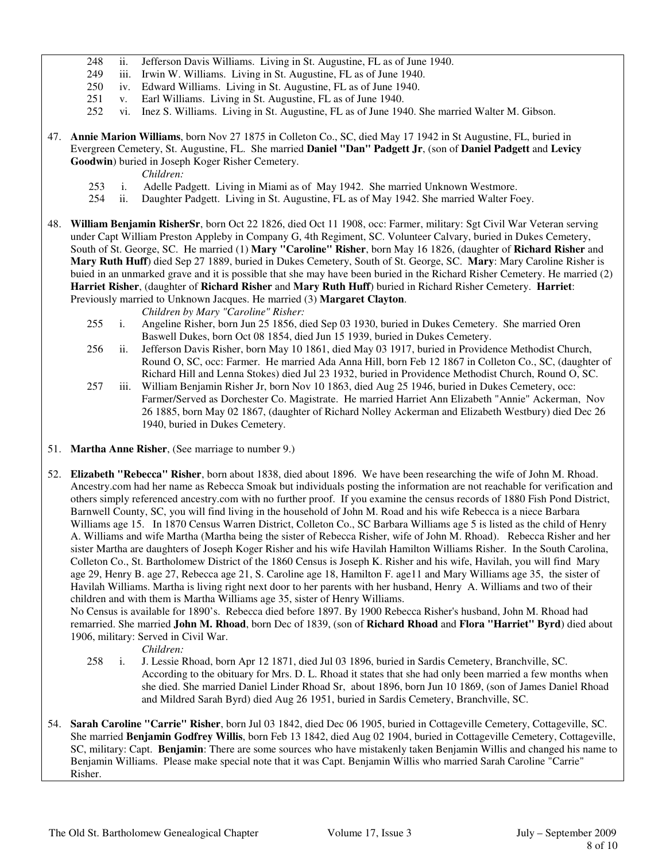- 248 ii. Jefferson Davis Williams. Living in St. Augustine, FL as of June 1940.
- 249 iii. Irwin W. Williams. Living in St. Augustine, FL as of June 1940.
- 250 iv. Edward Williams. Living in St. Augustine, FL as of June 1940.
- 251 v. Earl Williams. Living in St. Augustine, FL as of June 1940.
- 252 vi. Inez S. Williams. Living in St. Augustine, FL as of June 1940. She married Walter M. Gibson.

## 47. **Annie Marion Williams**, born Nov 27 1875 in Colleton Co., SC, died May 17 1942 in St Augustine, FL, buried in Evergreen Cemetery, St. Augustine, FL. She married **Daniel "Dan" Padgett Jr**, (son of **Daniel Padgett** and **Levicy Goodwin**) buried in Joseph Koger Risher Cemetery.

*Children:* 

- 253 i. Adelle Padgett. Living in Miami as of May 1942. She married Unknown Westmore.
- 254 ii. Daughter Padgett. Living in St. Augustine, FL as of May 1942. She married Walter Foey.
- 48. **William Benjamin RisherSr**, born Oct 22 1826, died Oct 11 1908, occ: Farmer, military: Sgt Civil War Veteran serving under Capt William Preston Appleby in Company G, 4th Regiment, SC. Volunteer Calvary, buried in Dukes Cemetery, South of St. George, SC. He married (1) **Mary "Caroline" Risher**, born May 16 1826, (daughter of **Richard Risher** and **Mary Ruth Huff**) died Sep 27 1889, buried in Dukes Cemetery, South of St. George, SC. **Mary**: Mary Caroline Risher is buied in an unmarked grave and it is possible that she may have been buried in the Richard Risher Cemetery. He married (2) **Harriet Risher**, (daughter of **Richard Risher** and **Mary Ruth Huff**) buried in Richard Risher Cemetery. **Harriet**: Previously married to Unknown Jacques. He married (3) **Margaret Clayton**.

*Children by Mary "Caroline" Risher:*

- 255 i. Angeline Risher, born Jun 25 1856, died Sep 03 1930, buried in Dukes Cemetery. She married Oren Baswell Dukes, born Oct 08 1854, died Jun 15 1939, buried in Dukes Cemetery.
- 256 ii. Jefferson Davis Risher, born May 10 1861, died May 03 1917, buried in Providence Methodist Church, Round O, SC, occ: Farmer. He married Ada Anna Hill, born Feb 12 1867 in Colleton Co., SC, (daughter of Richard Hill and Lenna Stokes) died Jul 23 1932, buried in Providence Methodist Church, Round O, SC.
- 257 iii. William Benjamin Risher Jr, born Nov 10 1863, died Aug 25 1946, buried in Dukes Cemetery, occ: Farmer/Served as Dorchester Co. Magistrate. He married Harriet Ann Elizabeth "Annie" Ackerman, Nov 26 1885, born May 02 1867, (daughter of Richard Nolley Ackerman and Elizabeth Westbury) died Dec 26 1940, buried in Dukes Cemetery.
- 51. **Martha Anne Risher**, (See marriage to number 9.)
- 52. **Elizabeth "Rebecca" Risher**, born about 1838, died about 1896. We have been researching the wife of John M. Rhoad. Ancestry.com had her name as Rebecca Smoak but individuals posting the information are not reachable for verification and others simply referenced ancestry.com with no further proof. If you examine the census records of 1880 Fish Pond District, Barnwell County, SC, you will find living in the household of John M. Road and his wife Rebecca is a niece Barbara Williams age 15. In 1870 Census Warren District, Colleton Co., SC Barbara Williams age 5 is listed as the child of Henry A. Williams and wife Martha (Martha being the sister of Rebecca Risher, wife of John M. Rhoad). Rebecca Risher and her sister Martha are daughters of Joseph Koger Risher and his wife Havilah Hamilton Williams Risher. In the South Carolina, Colleton Co., St. Bartholomew District of the 1860 Census is Joseph K. Risher and his wife, Havilah, you will find Mary age 29, Henry B. age 27, Rebecca age 21, S. Caroline age 18, Hamilton F. age11 and Mary Williams age 35, the sister of Havilah Williams. Martha is living right next door to her parents with her husband, Henry A. Williams and two of their children and with them is Martha Williams age 35, sister of Henry Williams.

 No Census is available for 1890's. Rebecca died before 1897. By 1900 Rebecca Risher's husband, John M. Rhoad had remarried. She married **John M. Rhoad**, born Dec of 1839, (son of **Richard Rhoad** and **Flora "Harriet" Byrd**) died about 1906, military: Served in Civil War.

- 258 i. J. Lessie Rhoad, born Apr 12 1871, died Jul 03 1896, buried in Sardis Cemetery, Branchville, SC. According to the obituary for Mrs. D. L. Rhoad it states that she had only been married a few months when she died. She married Daniel Linder Rhoad Sr, about 1896, born Jun 10 1869, (son of James Daniel Rhoad and Mildred Sarah Byrd) died Aug 26 1951, buried in Sardis Cemetery, Branchville, SC.
- 54. **Sarah Caroline "Carrie" Risher**, born Jul 03 1842, died Dec 06 1905, buried in Cottageville Cemetery, Cottageville, SC. She married **Benjamin Godfrey Willis**, born Feb 13 1842, died Aug 02 1904, buried in Cottageville Cemetery, Cottageville, SC, military: Capt. **Benjamin**: There are some sources who have mistakenly taken Benjamin Willis and changed his name to Benjamin Williams. Please make special note that it was Capt. Benjamin Willis who married Sarah Caroline "Carrie" Risher.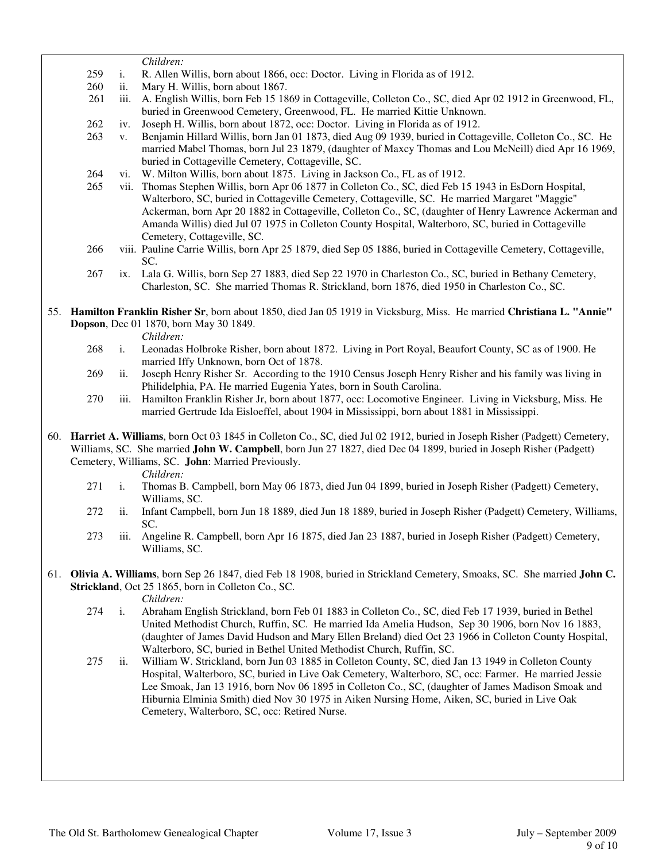*Children:*

- 259 i. R. Allen Willis, born about 1866, occ: Doctor. Living in Florida as of 1912.
- 260 ii. Mary H. Willis, born about 1867.
- 261 iii. A. English Willis, born Feb 15 1869 in Cottageville, Colleton Co., SC, died Apr 02 1912 in Greenwood, FL, buried in Greenwood Cemetery, Greenwood, FL. He married Kittie Unknown.
- 262 iv. Joseph H. Willis, born about 1872, occ: Doctor. Living in Florida as of 1912.
- 263 v. Benjamin Hillard Willis, born Jan 01 1873, died Aug 09 1939, buried in Cottageville, Colleton Co., SC. He married Mabel Thomas, born Jul 23 1879, (daughter of Maxcy Thomas and Lou McNeill) died Apr 16 1969, buried in Cottageville Cemetery, Cottageville, SC.
- 264 vi. W. Milton Willis, born about 1875. Living in Jackson Co., FL as of 1912.
- 265 vii. Thomas Stephen Willis, born Apr 06 1877 in Colleton Co., SC, died Feb 15 1943 in EsDorn Hospital, Walterboro, SC, buried in Cottageville Cemetery, Cottageville, SC. He married Margaret "Maggie" Ackerman, born Apr 20 1882 in Cottageville, Colleton Co., SC, (daughter of Henry Lawrence Ackerman and Amanda Willis) died Jul 07 1975 in Colleton County Hospital, Walterboro, SC, buried in Cottageville Cemetery, Cottageville, SC.
- 266 viii. Pauline Carrie Willis, born Apr 25 1879, died Sep 05 1886, buried in Cottageville Cemetery, Cottageville, SC.
- 267 ix. Lala G. Willis, born Sep 27 1883, died Sep 22 1970 in Charleston Co., SC, buried in Bethany Cemetery, Charleston, SC. She married Thomas R. Strickland, born 1876, died 1950 in Charleston Co., SC.
- 55. **Hamilton Franklin Risher Sr**, born about 1850, died Jan 05 1919 in Vicksburg, Miss. He married **Christiana L. "Annie" Dopson**, Dec 01 1870, born May 30 1849.

- *Children:*<br>268 i. Leonadas 268 i. Leonadas Holbroke Risher, born about 1872. Living in Port Royal, Beaufort County, SC as of 1900. He married Iffy Unknown, born Oct of 1878.
- 269 ii. Joseph Henry Risher Sr. According to the 1910 Census Joseph Henry Risher and his family was living in Philidelphia, PA. He married Eugenia Yates, born in South Carolina.
- 270 iii. Hamilton Franklin Risher Jr, born about 1877, occ: Locomotive Engineer. Living in Vicksburg, Miss. He married Gertrude Ida Eisloeffel, about 1904 in Mississippi, born about 1881 in Mississippi.
- 60. **Harriet A. Williams**, born Oct 03 1845 in Colleton Co., SC, died Jul 02 1912, buried in Joseph Risher (Padgett) Cemetery, Williams, SC. She married **John W. Campbell**, born Jun 27 1827, died Dec 04 1899, buried in Joseph Risher (Padgett) Cemetery, Williams, SC. **John**: Married Previously.

*Children:*

- 271 i. Thomas B. Campbell, born May 06 1873, died Jun 04 1899, buried in Joseph Risher (Padgett) Cemetery, Williams, SC.
- 272 ii. Infant Campbell, born Jun 18 1889, died Jun 18 1889, buried in Joseph Risher (Padgett) Cemetery, Williams, SC.
- 273 iii. Angeline R. Campbell, born Apr 16 1875, died Jan 23 1887, buried in Joseph Risher (Padgett) Cemetery, Williams, SC.
- 61. **Olivia A. Williams**, born Sep 26 1847, died Feb 18 1908, buried in Strickland Cemetery, Smoaks, SC. She married **John C. Strickland**, Oct 25 1865, born in Colleton Co., SC.

- 274 i. Abraham English Strickland, born Feb 01 1883 in Colleton Co., SC, died Feb 17 1939, buried in Bethel United Methodist Church, Ruffin, SC. He married Ida Amelia Hudson, Sep 30 1906, born Nov 16 1883, (daughter of James David Hudson and Mary Ellen Breland) died Oct 23 1966 in Colleton County Hospital, Walterboro, SC, buried in Bethel United Methodist Church, Ruffin, SC.
- 275 ii. William W. Strickland, born Jun 03 1885 in Colleton County, SC, died Jan 13 1949 in Colleton County Hospital, Walterboro, SC, buried in Live Oak Cemetery, Walterboro, SC, occ: Farmer. He married Jessie Lee Smoak, Jan 13 1916, born Nov 06 1895 in Colleton Co., SC, (daughter of James Madison Smoak and Hiburnia Elminia Smith) died Nov 30 1975 in Aiken Nursing Home, Aiken, SC, buried in Live Oak Cemetery, Walterboro, SC, occ: Retired Nurse.